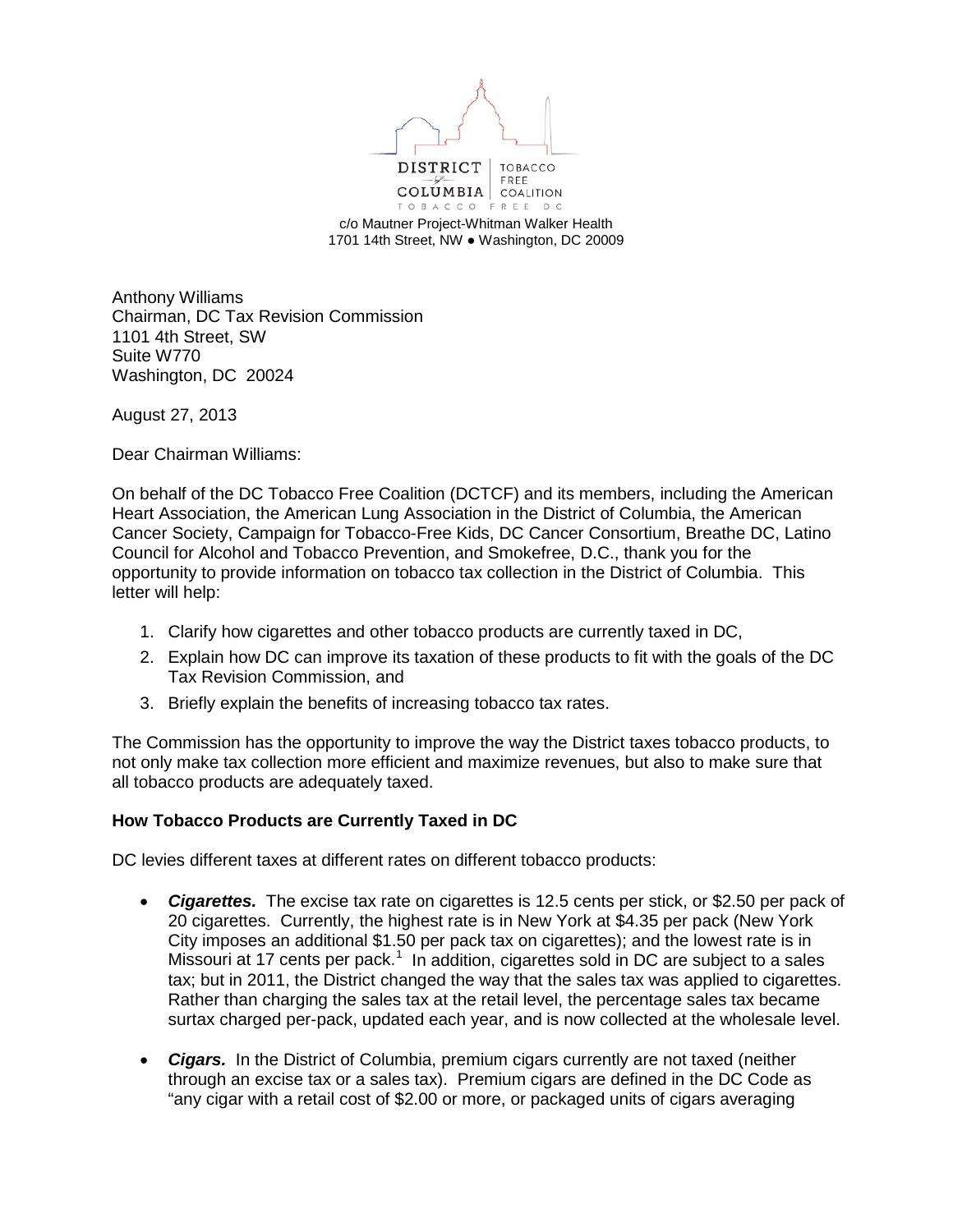

c/o Mautner Project-Whitman Walker Health 1701 14th Street, NW ● Washington, DC 20009

Anthony Williams Chairman, DC Tax Revision Commission 1101 4th Street, SW Suite W770 Washington, DC 20024

August 27, 2013

Dear Chairman Williams:

On behalf of the DC Tobacco Free Coalition (DCTCF) and its members, including the American Heart Association, the American Lung Association in the District of Columbia, the American Cancer Society, Campaign for Tobacco-Free Kids, DC Cancer Consortium, Breathe DC, Latino Council for Alcohol and Tobacco Prevention, and Smokefree, D.C., thank you for the opportunity to provide information on tobacco tax collection in the District of Columbia. This letter will help:

- 1. Clarify how cigarettes and other tobacco products are currently taxed in DC,
- 2. Explain how DC can improve its taxation of these products to fit with the goals of the DC Tax Revision Commission, and
- 3. Briefly explain the benefits of increasing tobacco tax rates.

The Commission has the opportunity to improve the way the District taxes tobacco products, to not only make tax collection more efficient and maximize revenues, but also to make sure that all tobacco products are adequately taxed.

## **How Tobacco Products are Currently Taxed in DC**

DC levies different taxes at different rates on different tobacco products:

- *Cigarettes.* The excise tax rate on cigarettes is 12.5 cents per stick, or \$2.50 per pack of 20 cigarettes. Currently, the highest rate is in New York at \$4.35 per pack (New York City imposes an additional \$1.50 per pack tax on cigarettes); and the lowest rate is in Missouri at [1](#page-7-0)7 cents per pack.<sup>1</sup> In addition, cigarettes sold in DC are subject to a sales tax; but in 2011, the District changed the way that the sales tax was applied to cigarettes. Rather than charging the sales tax at the retail level, the percentage sales tax became surtax charged per-pack, updated each year, and is now collected at the wholesale level.
- *Cigars.* In the District of Columbia, premium cigars currently are not taxed (neither through an excise tax or a sales tax). Premium cigars are defined in the DC Code as "any cigar with a retail cost of \$2.00 or more, or packaged units of cigars averaging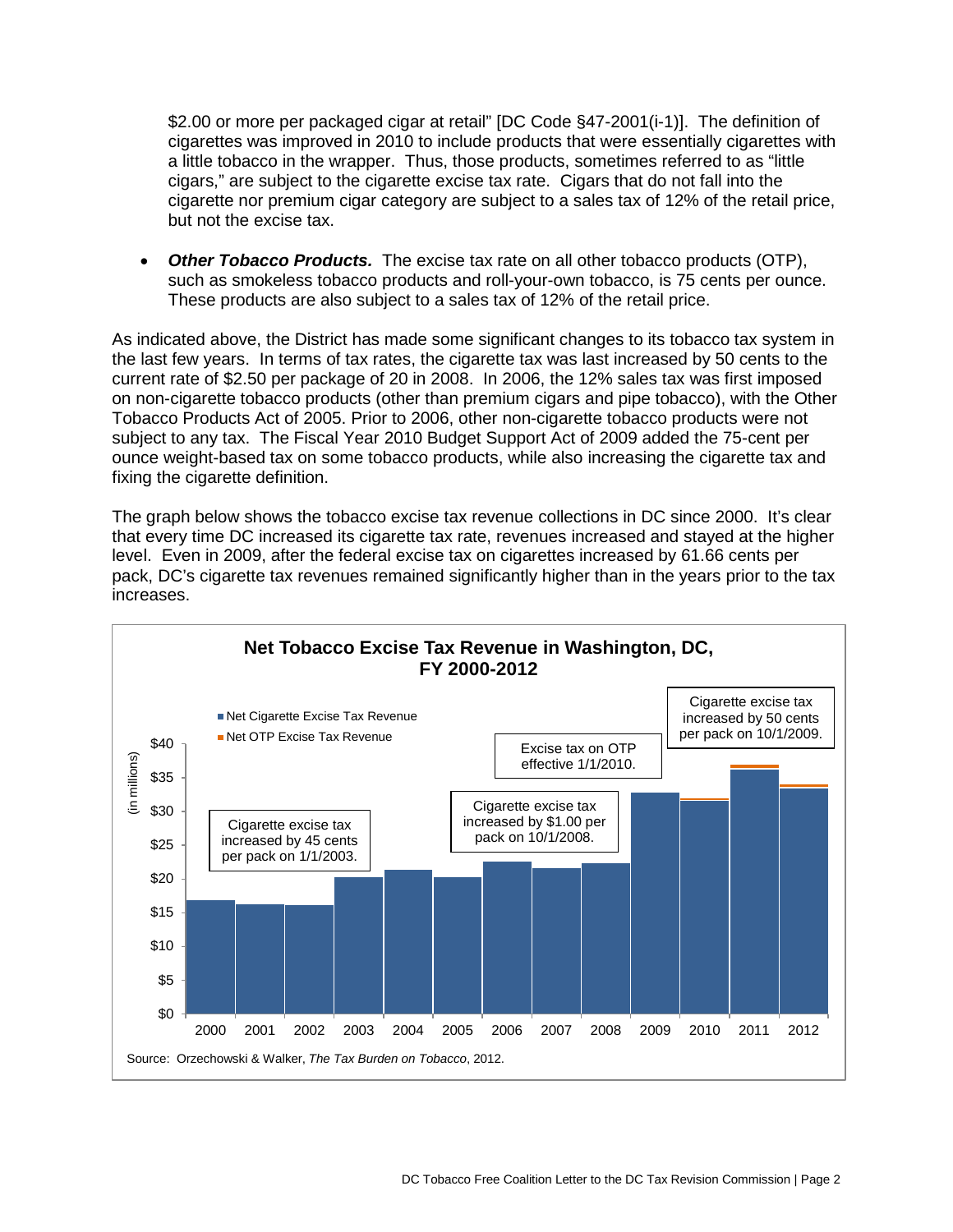\$2.00 or more per packaged cigar at retail" [DC Code §47-2001(i-1)]. The definition of cigarettes was improved in 2010 to include products that were essentially cigarettes with a little tobacco in the wrapper. Thus, those products, sometimes referred to as "little cigars," are subject to the cigarette excise tax rate. Cigars that do not fall into the cigarette nor premium cigar category are subject to a sales tax of 12% of the retail price, but not the excise tax.

**Other Tobacco Products.** The excise tax rate on all other tobacco products (OTP), such as smokeless tobacco products and roll-your-own tobacco, is 75 cents per ounce. These products are also subject to a sales tax of 12% of the retail price.

As indicated above, the District has made some significant changes to its tobacco tax system in the last few years. In terms of tax rates, the cigarette tax was last increased by 50 cents to the current rate of \$2.50 per package of 20 in 2008. In 2006, the 12% sales tax was first imposed on non-cigarette tobacco products (other than premium cigars and pipe tobacco), with the Other Tobacco Products Act of 2005. Prior to 2006, other non-cigarette tobacco products were not subject to any tax. The Fiscal Year 2010 Budget Support Act of 2009 added the 75-cent per ounce weight-based tax on some tobacco products, while also increasing the cigarette tax and fixing the cigarette definition.

The graph below shows the tobacco excise tax revenue collections in DC since 2000. It's clear that every time DC increased its cigarette tax rate, revenues increased and stayed at the higher level. Even in 2009, after the federal excise tax on cigarettes increased by 61.66 cents per pack, DC's cigarette tax revenues remained significantly higher than in the years prior to the tax increases.

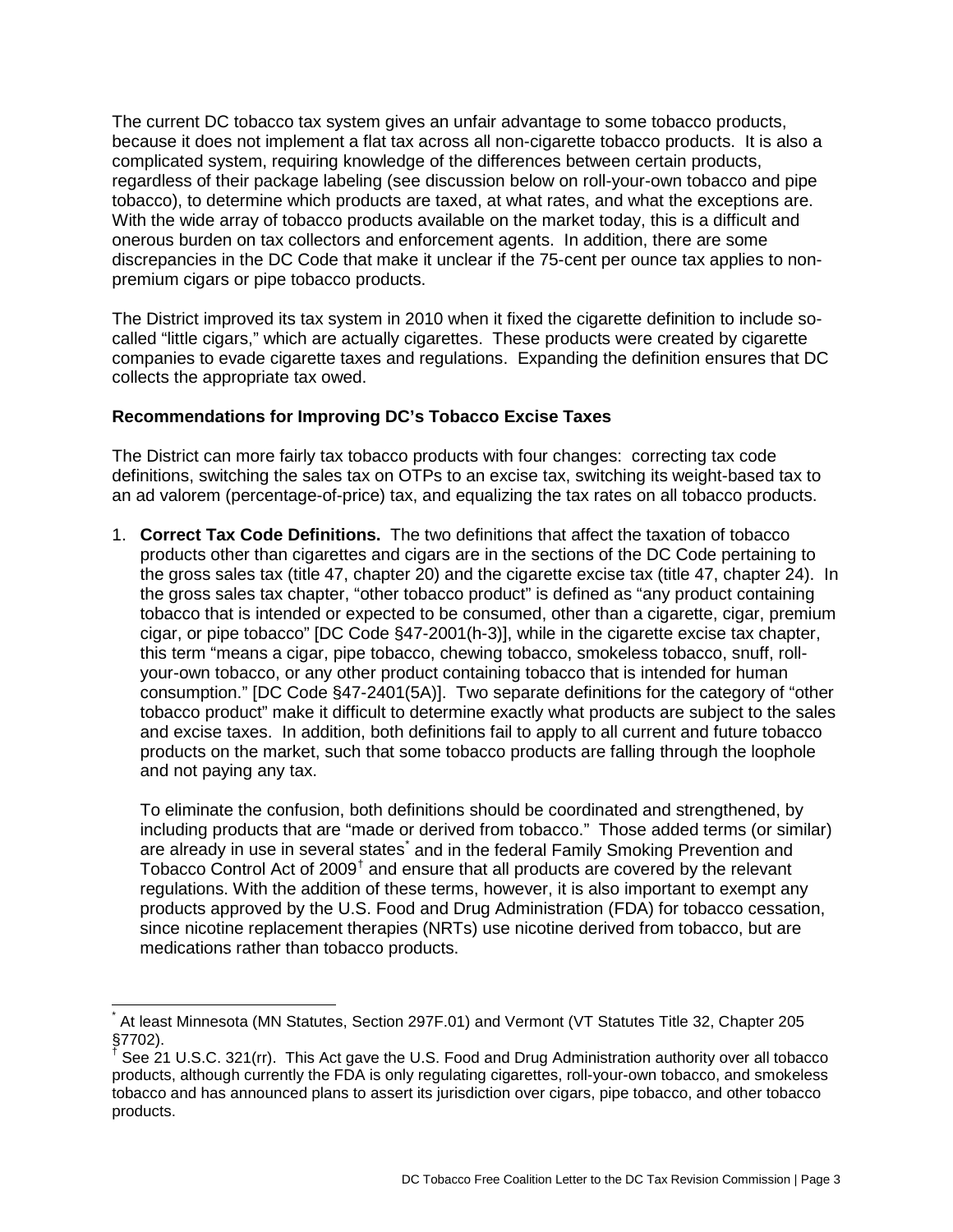The current DC tobacco tax system gives an unfair advantage to some tobacco products, because it does not implement a flat tax across all non-cigarette tobacco products. It is also a complicated system, requiring knowledge of the differences between certain products, regardless of their package labeling (see discussion below on roll-your-own tobacco and pipe tobacco), to determine which products are taxed, at what rates, and what the exceptions are. With the wide array of tobacco products available on the market today, this is a difficult and onerous burden on tax collectors and enforcement agents. In addition, there are some discrepancies in the DC Code that make it unclear if the 75-cent per ounce tax applies to nonpremium cigars or pipe tobacco products.

The District improved its tax system in 2010 when it fixed the cigarette definition to include socalled "little cigars," which are actually cigarettes. These products were created by cigarette companies to evade cigarette taxes and regulations. Expanding the definition ensures that DC collects the appropriate tax owed.

## **Recommendations for Improving DC's Tobacco Excise Taxes**

The District can more fairly tax tobacco products with four changes: correcting tax code definitions, switching the sales tax on OTPs to an excise tax, switching its weight-based tax to an ad valorem (percentage-of-price) tax, and equalizing the tax rates on all tobacco products.

1. **Correct Tax Code Definitions.** The two definitions that affect the taxation of tobacco products other than cigarettes and cigars are in the sections of the DC Code pertaining to the gross sales tax (title 47, chapter 20) and the cigarette excise tax (title 47, chapter 24). In the gross sales tax chapter, "other tobacco product" is defined as "any product containing tobacco that is intended or expected to be consumed, other than a cigarette, cigar, premium cigar, or pipe tobacco" [DC Code §47-2001(h-3)], while in the cigarette excise tax chapter, this term "means a cigar, pipe tobacco, chewing tobacco, smokeless tobacco, snuff, rollyour-own tobacco, or any other product containing tobacco that is intended for human consumption." [DC Code §47-2401(5A)]. Two separate definitions for the category of "other tobacco product" make it difficult to determine exactly what products are subject to the sales and excise taxes. In addition, both definitions fail to apply to all current and future tobacco products on the market, such that some tobacco products are falling through the loophole and not paying any tax.

To eliminate the confusion, both definitions should be coordinated and strengthened, by including products that are "made or derived from tobacco." Those added terms (or similar) are already in use in several states<sup>[\\*](#page-2-0)</sup> and in the federal Family Smoking Prevention and Tobacco Control Act of 2009<sup>[†](#page-2-1)</sup> and ensure that all products are covered by the relevant regulations. With the addition of these terms, however, it is also important to exempt any products approved by the U.S. Food and Drug Administration (FDA) for tobacco cessation, since nicotine replacement therapies (NRTs) use nicotine derived from tobacco, but are medications rather than tobacco products.

<span id="page-2-0"></span>At least Minnesota (MN Statutes, Section 297F.01) and Vermont (VT Statutes Title 32, Chapter 205 §7702).

<span id="page-2-1"></span><sup>†</sup> See 21 U.S.C. 321(rr). This Act gave the U.S. Food and Drug Administration authority over all tobacco products, although currently the FDA is only regulating cigarettes, roll-your-own tobacco, and smokeless tobacco and has announced plans to assert its jurisdiction over cigars, pipe tobacco, and other tobacco products.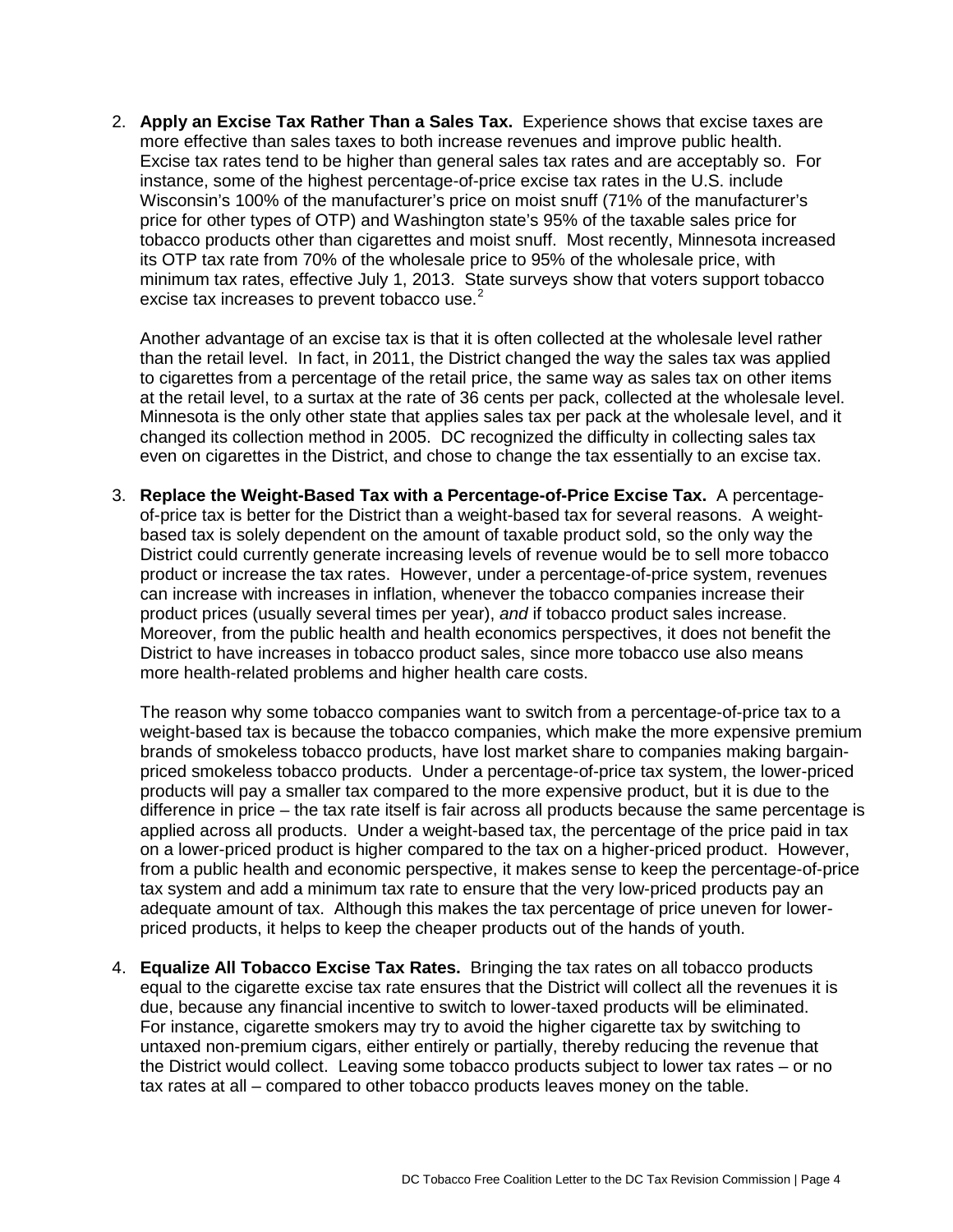2. **Apply an Excise Tax Rather Than a Sales Tax.** Experience shows that excise taxes are more effective than sales taxes to both increase revenues and improve public health. Excise tax rates tend to be higher than general sales tax rates and are acceptably so. For instance, some of the highest percentage-of-price excise tax rates in the U.S. include Wisconsin's 100% of the manufacturer's price on moist snuff (71% of the manufacturer's price for other types of OTP) and Washington state's 95% of the taxable sales price for tobacco products other than cigarettes and moist snuff. Most recently, Minnesota increased its OTP tax rate from 70% of the wholesale price to 95% of the wholesale price, with minimum tax rates, effective July 1, 2013. State surveys show that voters support tobacco excise tax increases to prevent tobacco use.<sup>[2](#page-8-0)</sup>

Another advantage of an excise tax is that it is often collected at the wholesale level rather than the retail level. In fact, in 2011, the District changed the way the sales tax was applied to cigarettes from a percentage of the retail price, the same way as sales tax on other items at the retail level, to a surtax at the rate of 36 cents per pack, collected at the wholesale level. Minnesota is the only other state that applies sales tax per pack at the wholesale level, and it changed its collection method in 2005. DC recognized the difficulty in collecting sales tax even on cigarettes in the District, and chose to change the tax essentially to an excise tax.

3. **Replace the Weight-Based Tax with a Percentage-of-Price Excise Tax.** A percentageof-price tax is better for the District than a weight-based tax for several reasons. A weightbased tax is solely dependent on the amount of taxable product sold, so the only way the District could currently generate increasing levels of revenue would be to sell more tobacco product or increase the tax rates. However, under a percentage-of-price system, revenues can increase with increases in inflation, whenever the tobacco companies increase their product prices (usually several times per year), *and* if tobacco product sales increase. Moreover, from the public health and health economics perspectives, it does not benefit the District to have increases in tobacco product sales, since more tobacco use also means more health-related problems and higher health care costs.

The reason why some tobacco companies want to switch from a percentage-of-price tax to a weight-based tax is because the tobacco companies, which make the more expensive premium brands of smokeless tobacco products, have lost market share to companies making bargainpriced smokeless tobacco products. Under a percentage-of-price tax system, the lower-priced products will pay a smaller tax compared to the more expensive product, but it is due to the difference in price – the tax rate itself is fair across all products because the same percentage is applied across all products. Under a weight-based tax, the percentage of the price paid in tax on a lower-priced product is higher compared to the tax on a higher-priced product. However, from a public health and economic perspective, it makes sense to keep the percentage-of-price tax system and add a minimum tax rate to ensure that the very low-priced products pay an adequate amount of tax. Although this makes the tax percentage of price uneven for lowerpriced products, it helps to keep the cheaper products out of the hands of youth.

4. **Equalize All Tobacco Excise Tax Rates.** Bringing the tax rates on all tobacco products equal to the cigarette excise tax rate ensures that the District will collect all the revenues it is due, because any financial incentive to switch to lower-taxed products will be eliminated. For instance, cigarette smokers may try to avoid the higher cigarette tax by switching to untaxed non-premium cigars, either entirely or partially, thereby reducing the revenue that the District would collect. Leaving some tobacco products subject to lower tax rates – or no tax rates at all – compared to other tobacco products leaves money on the table.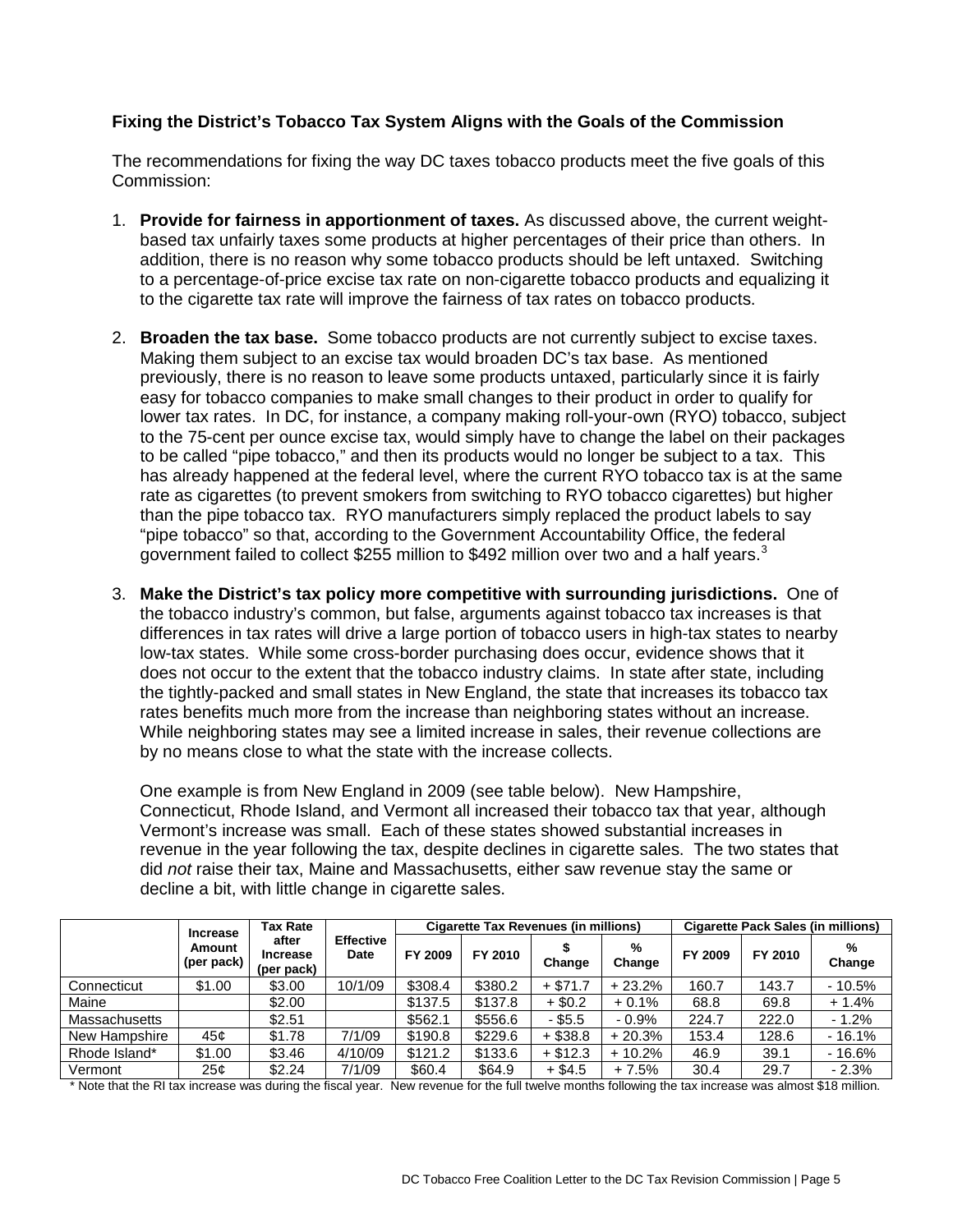## **Fixing the District's Tobacco Tax System Aligns with the Goals of the Commission**

The recommendations for fixing the way DC taxes tobacco products meet the five goals of this Commission:

- 1. **Provide for fairness in apportionment of taxes.** As discussed above, the current weightbased tax unfairly taxes some products at higher percentages of their price than others. In addition, there is no reason why some tobacco products should be left untaxed. Switching to a percentage-of-price excise tax rate on non-cigarette tobacco products and equalizing it to the cigarette tax rate will improve the fairness of tax rates on tobacco products.
- 2. **Broaden the tax base.** Some tobacco products are not currently subject to excise taxes. Making them subject to an excise tax would broaden DC's tax base. As mentioned previously, there is no reason to leave some products untaxed, particularly since it is fairly easy for tobacco companies to make small changes to their product in order to qualify for lower tax rates. In DC, for instance, a company making roll-your-own (RYO) tobacco, subject to the 75-cent per ounce excise tax, would simply have to change the label on their packages to be called "pipe tobacco," and then its products would no longer be subject to a tax. This has already happened at the federal level, where the current RYO tobacco tax is at the same rate as cigarettes (to prevent smokers from switching to RYO tobacco cigarettes) but higher than the pipe tobacco tax. RYO manufacturers simply replaced the product labels to say "pipe tobacco" so that, according to the Government Accountability Office, the federal government failed to collect \$255 million to \$492 million over two and a half years.<sup>[3](#page-8-1)</sup>
- 3. **Make the District's tax policy more competitive with surrounding jurisdictions.** One of the tobacco industry's common, but false, arguments against tobacco tax increases is that differences in tax rates will drive a large portion of tobacco users in high-tax states to nearby low-tax states. While some cross-border purchasing does occur, evidence shows that it does not occur to the extent that the tobacco industry claims. In state after state, including the tightly-packed and small states in New England, the state that increases its tobacco tax rates benefits much more from the increase than neighboring states without an increase. While neighboring states may see a limited increase in sales, their revenue collections are by no means close to what the state with the increase collects.

One example is from New England in 2009 (see table below). New Hampshire, Connecticut, Rhode Island, and Vermont all increased their tobacco tax that year, although Vermont's increase was small. Each of these states showed substantial increases in revenue in the year following the tax, despite declines in cigarette sales. The two states that did *not* raise their tax, Maine and Massachusetts, either saw revenue stay the same or decline a bit, with little change in cigarette sales.

|                      | <b>Increase</b><br>Amount<br>(per pack) | <b>Tax Rate</b><br>after<br><b>Increase</b><br>(per pack) | <b>Effective</b><br>Date | <b>Cigarette Tax Revenues (in millions)</b> |         |            |             | <b>Cigarette Pack Sales (in millions)</b> |         |             |
|----------------------|-----------------------------------------|-----------------------------------------------------------|--------------------------|---------------------------------------------|---------|------------|-------------|-------------------------------------------|---------|-------------|
|                      |                                         |                                                           |                          | FY 2009                                     | FY 2010 | Change     | %<br>Change | FY 2009                                   | FY 2010 | %<br>Change |
| Connecticut          | \$1.00                                  | \$3.00                                                    | 10/1/09                  | \$308.4                                     | \$380.2 | $+$ \$71.7 | $+23.2%$    | 160.7                                     | 143.7   | $-10.5%$    |
| Maine                |                                         | \$2.00                                                    |                          | \$137.5                                     | \$137.8 | $+$ \$0.2  | $+0.1%$     | 68.8                                      | 69.8    | $+1.4%$     |
| <b>Massachusetts</b> |                                         | \$2.51                                                    |                          | \$562.1                                     | \$556.6 | - \$5.5    | $-0.9%$     | 224.7                                     | 222.0   | $-1.2%$     |
| New Hampshire        | 45¢                                     | \$1.78                                                    | 7/1/09                   | \$190.8                                     | \$229.6 | $+$ \$38.8 | $+20.3%$    | 153.4                                     | 128.6   | $-16.1%$    |
| Rhode Island*        | \$1.00                                  | \$3.46                                                    | 4/10/09                  | \$121.2                                     | \$133.6 | $+$ \$12.3 | $+10.2%$    | 46.9                                      | 39.1    | $-16.6%$    |
| Vermont              | 25¢                                     | \$2.24                                                    | 7/1/09                   | \$60.4                                      | \$64.9  | $+$ \$4.5  | $+7.5%$     | 30.4                                      | 29.7    | $-2.3%$     |

\* Note that the RI tax increase was during the fiscal year. New revenue for the full twelve months following the tax increase was almost \$18 million.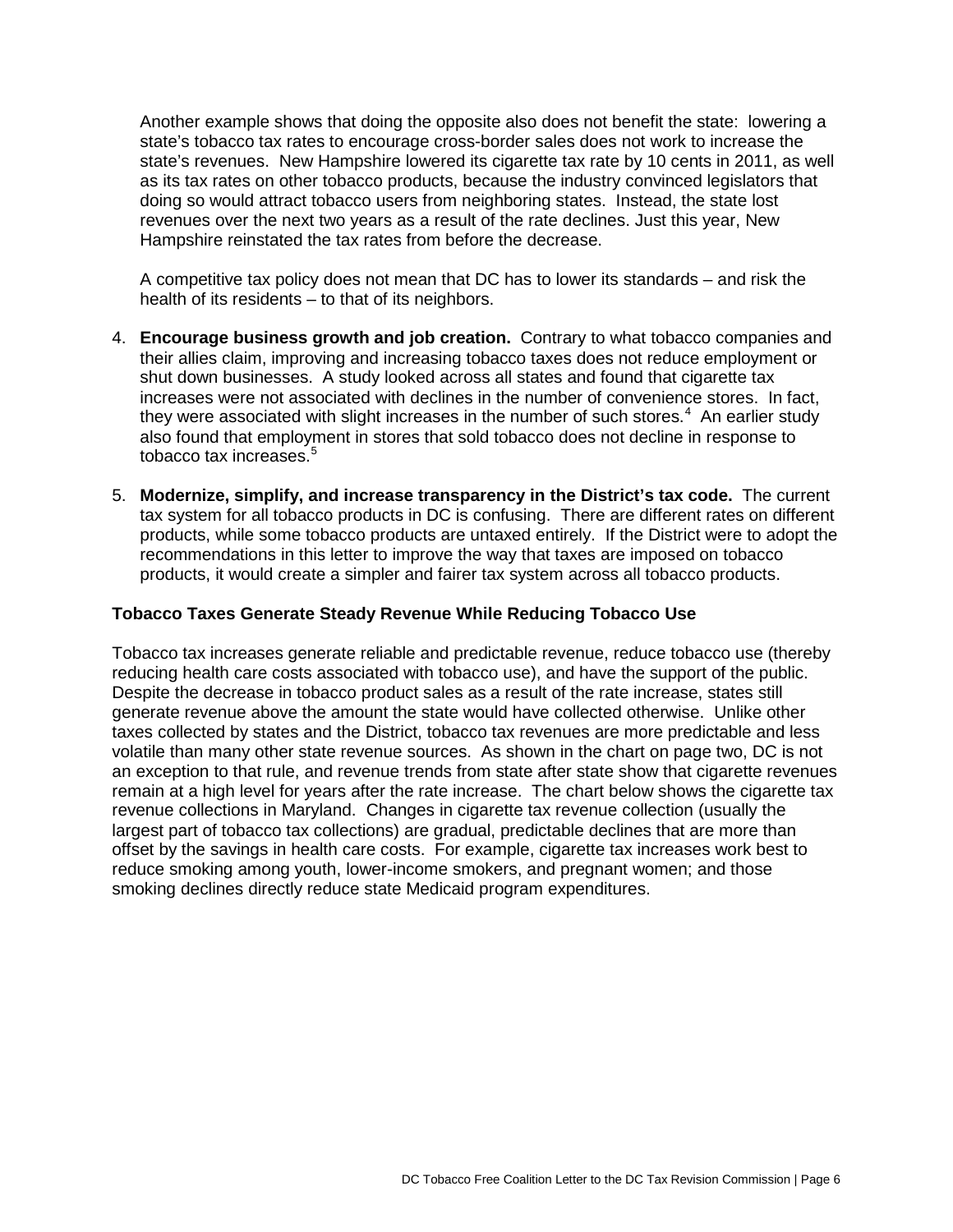Another example shows that doing the opposite also does not benefit the state: lowering a state's tobacco tax rates to encourage cross-border sales does not work to increase the state's revenues. New Hampshire lowered its cigarette tax rate by 10 cents in 2011, as well as its tax rates on other tobacco products, because the industry convinced legislators that doing so would attract tobacco users from neighboring states. Instead, the state lost revenues over the next two years as a result of the rate declines. Just this year, New Hampshire reinstated the tax rates from before the decrease.

A competitive tax policy does not mean that DC has to lower its standards – and risk the health of its residents – to that of its neighbors.

- 4. **Encourage business growth and job creation.** Contrary to what tobacco companies and their allies claim, improving and increasing tobacco taxes does not reduce employment or shut down businesses. A study looked across all states and found that cigarette tax increases were not associated with declines in the number of convenience stores. In fact, they were associated with slight increases in the number of such stores. $4\,$  $4\,$  An earlier study also found that employment in stores that sold tobacco does not decline in response to tobacco tax increases. $5$
- 5. **Modernize, simplify, and increase transparency in the District's tax code.** The current tax system for all tobacco products in DC is confusing. There are different rates on different products, while some tobacco products are untaxed entirely. If the District were to adopt the recommendations in this letter to improve the way that taxes are imposed on tobacco products, it would create a simpler and fairer tax system across all tobacco products.

## **Tobacco Taxes Generate Steady Revenue While Reducing Tobacco Use**

Tobacco tax increases generate reliable and predictable revenue, reduce tobacco use (thereby reducing health care costs associated with tobacco use), and have the support of the public. Despite the decrease in tobacco product sales as a result of the rate increase, states still generate revenue above the amount the state would have collected otherwise. Unlike other taxes collected by states and the District, tobacco tax revenues are more predictable and less volatile than many other state revenue sources. As shown in the chart on page two, DC is not an exception to that rule, and revenue trends from state after state show that cigarette revenues remain at a high level for years after the rate increase. The chart below shows the cigarette tax revenue collections in Maryland. Changes in cigarette tax revenue collection (usually the largest part of tobacco tax collections) are gradual, predictable declines that are more than offset by the savings in health care costs. For example, cigarette tax increases work best to reduce smoking among youth, lower-income smokers, and pregnant women; and those smoking declines directly reduce state Medicaid program expenditures.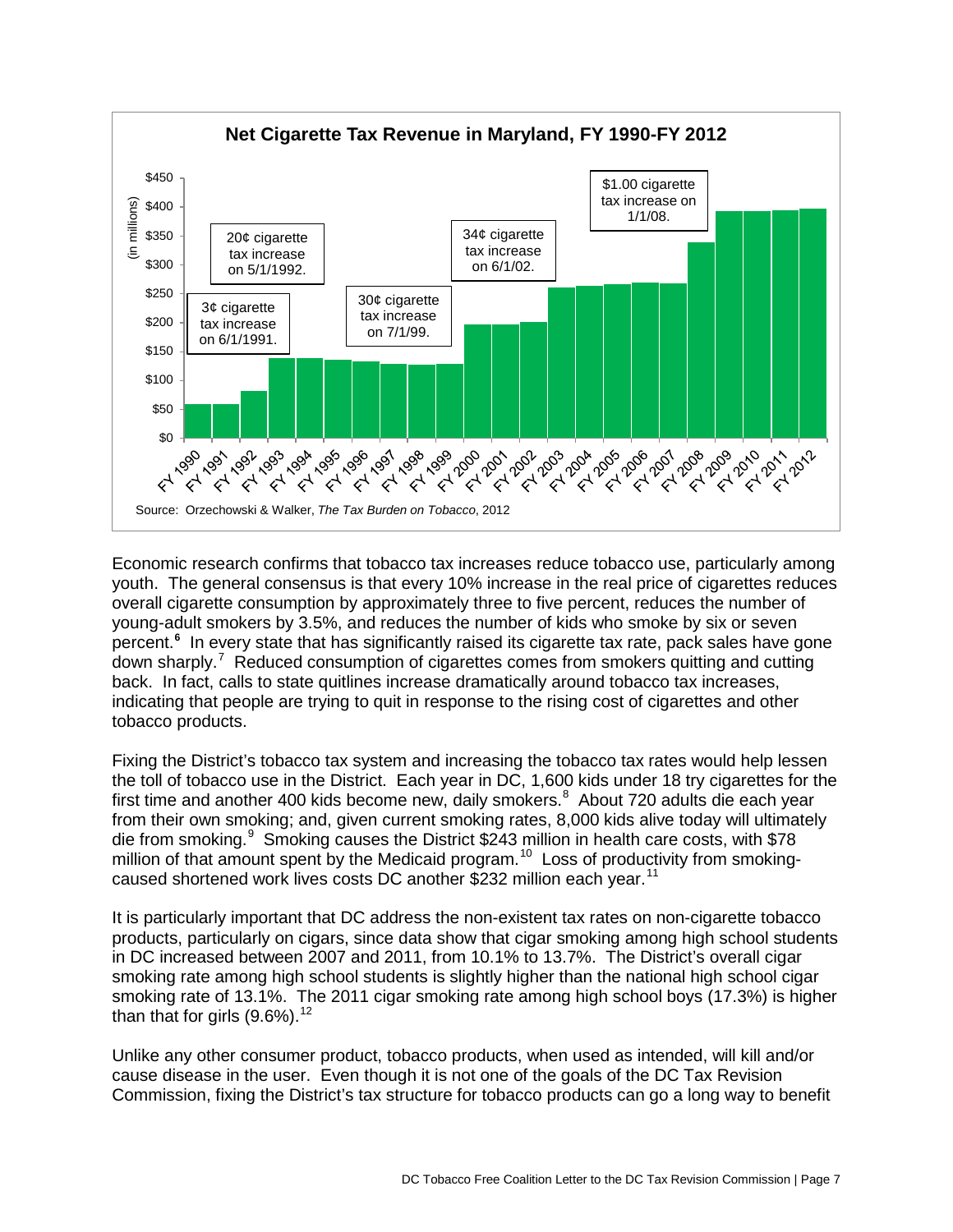

Economic research confirms that tobacco tax increases reduce tobacco use, particularly among youth. The general consensus is that every 10% increase in the real price of cigarettes reduces overall cigarette consumption by approximately three to five percent, reduces the number of young-adult smokers by 3.5%, and reduces the number of kids who smoke by six or seven percent.**[6](#page-8-4)** In every state that has significantly raised its cigarette tax rate, pack sales have gone down sharply.<sup>[7](#page-8-5)</sup> Reduced consumption of cigarettes comes from smokers quitting and cutting back. In fact, calls to state quitlines increase dramatically around tobacco tax increases, indicating that people are trying to quit in response to the rising cost of cigarettes and other tobacco products.

Fixing the District's tobacco tax system and increasing the tobacco tax rates would help lessen the toll of tobacco use in the District. Each year in DC, 1,600 kids under 18 try cigarettes for the first time and another 400 kids become new, daily smokers.<sup>[8](#page-8-6)</sup> About 720 adults die each year from their own smoking; and, given current smoking rates, 8,000 kids alive today will ultimately die from smoking.<sup>[9](#page-8-7)</sup> Smoking causes the District \$243 million in health care costs, with \$78 million of that amount spent by the Medicaid program.<sup>[10](#page-8-8)</sup> Loss of productivity from smoking-caused shortened work lives costs DC another \$232 million each year.<sup>[11](#page-8-9)</sup>

It is particularly important that DC address the non-existent tax rates on non-cigarette tobacco products, particularly on cigars, since data show that cigar smoking among high school students in DC increased between 2007 and 2011, from 10.1% to 13.7%. The District's overall cigar smoking rate among high school students is slightly higher than the national high school cigar smoking rate of 13.1%. The 2011 cigar smoking rate among high school boys (17.3%) is higher than that for girls  $(9.6\%)$ .<sup>[12](#page-8-10)</sup>

Unlike any other consumer product, tobacco products, when used as intended, will kill and/or cause disease in the user. Even though it is not one of the goals of the DC Tax Revision Commission, fixing the District's tax structure for tobacco products can go a long way to benefit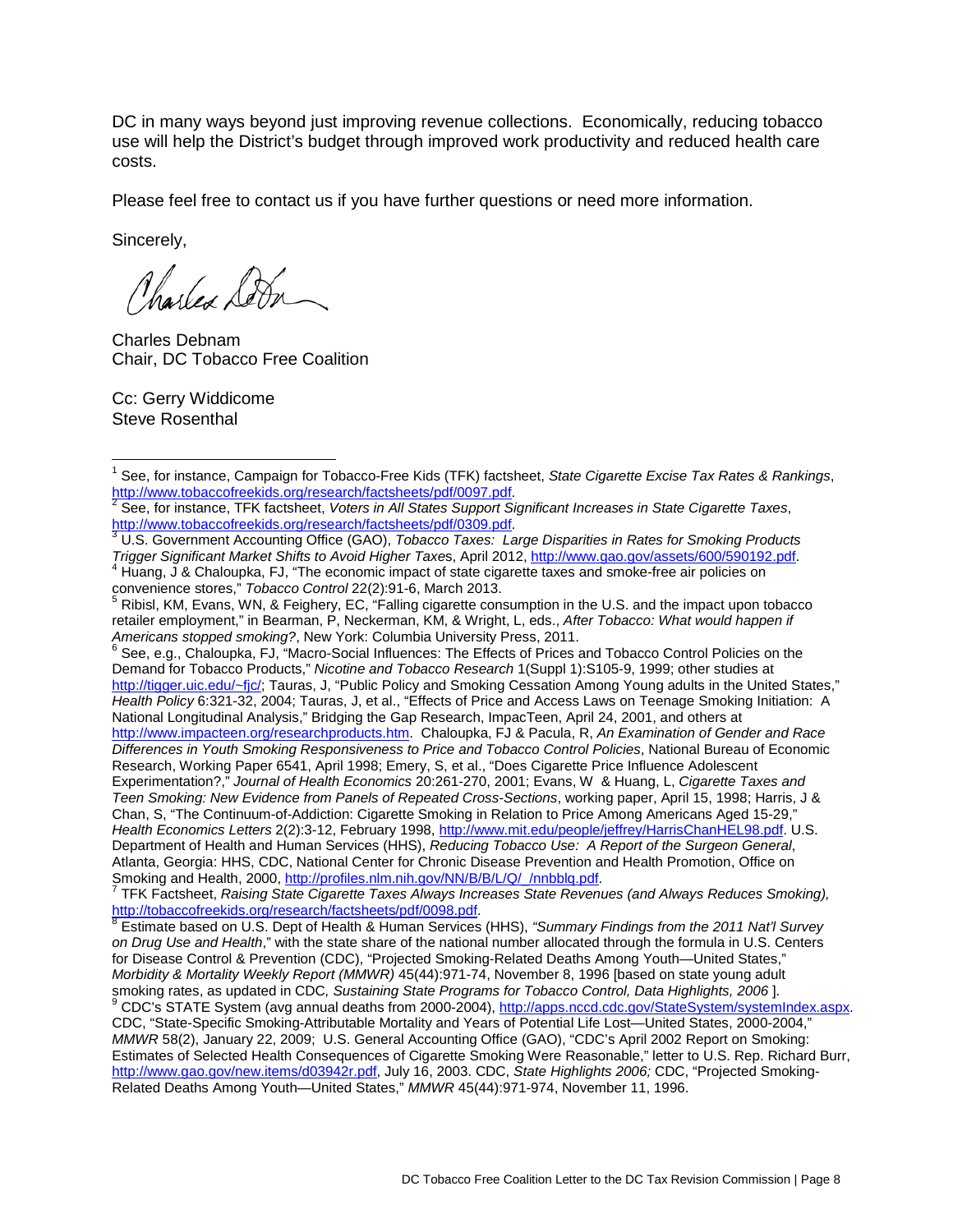DC in many ways beyond just improving revenue collections. Economically, reducing tobacco use will help the District's budget through improved work productivity and reduced health care costs.

Please feel free to contact us if you have further questions or need more information.

Sincerely,

Charles Sobr

Charles Debnam Chair, DC Tobacco Free Coalition

Cc: Gerry Widdicome Steve Rosenthal

*Americans stopped in*<br>
<sup>6</sup> See, e.g., Chaloupka, FJ, "Macro-Social Influences: The Effects of Prices and Tobacco Control Policies on the Demand for Tobacco Products," *Nicotine and Tobacco Research* 1(Suppl 1):S105-9, 1999; other studies at [http://tigger.uic.edu/~fjc/;](http://tigger.uic.edu/~fjc) Tauras, J, "Public Policy and Smoking Cessation Among Young adults in the United States," *Health Policy* 6:321-32, 2004; Tauras, J, et al., "Effects of Price and Access Laws on Teenage Smoking Initiation: A National Longitudinal Analysis," Bridging the Gap Research, ImpacTeen, April 24, 2001, and others at [http://www.impacteen.org/researchproducts.htm.](http://www.uic.edu/orgs/impacteen) Chaloupka, FJ & Pacula, R, *An Examination of Gender and Race Differences in Youth Smoking Responsiveness to Price and Tobacco Control Policies*, National Bureau of Economic Research, Working Paper 6541, April 1998; Emery, S, et al., "Does Cigarette Price Influence Adolescent Experimentation?," *Journal of Health Economics* 20:261-270, 2001; Evans, W & Huang, L, *Cigarette Taxes and Teen Smoking: New Evidence from Panels of Repeated Cross-Sections*, working paper, April 15, 1998; Harris, J & Chan, S, "The Continuum-of-Addiction: Cigarette Smoking in Relation to Price Among Americans Aged 15-29," *Health Economics Letters* 2(2):3-12, February 1998, [http://www.mit.edu/people/jeffrey/HarrisChanHEL98.pdf.](http://www.mit.edu/people/jeffrey/HarrisChanHEL98.pdf) U.S. Department of Health and Human Services (HHS), *Reducing Tobacco Use: A Report of the Surgeon General*, Atlanta, Georgia: HHS, CDC, National Center for Chronic Disease Prevention and Health Promotion, Office on

Smoking and Health, 2000, [http://profiles.nlm.nih.gov/NN/B/B/L/Q/\\_/nnbblq.pdf.](http://profiles.nlm.nih.gov/NN/B/B/L/Q/_/nnbblq.pdf) <sup>7</sup> TFK Factsheet, *Raising State Cigarette Taxes Always Increases State Revenues (and Always Reduces Smoking),* [http://tobaccofreekids.org/research/factsheets/pdf/0098.pdf.](http://tobaccofreekids.org/research/factsheets/pdf/0098.pdf)<br><sup>[8](http://tobaccofreekids.org/research/factsheets/pdf/0098.pdf)</sup> Estimate based on U.S. Dept of Health & Human Services (HHS), "Summary Findings from the 2011 Nat'l Survey

*on Drug Use and Health*," with the state share of the national number allocated through the formula in U.S. Centers for Disease Control & Prevention (CDC), "Projected Smoking-Related Deaths Among Youth—United States," *Morbidity & Mortality Weekly Report (MMWR)* 45(44):971-74, November 8, 1996 [based on state young adult smoking rates, as updated in CDC, Sustaining State Programs for Tobacco Control, Data Highlights, 2006].<br><sup>9</sup> CDCia S

CDC's STATE System (avg annual deaths from 2000-2004), [http://apps.nccd.cdc.gov/StateSystem/systemIndex.aspx.](http://apps.nccd.cdc.gov/StateSystem/systemIndex.aspx) CDC, "State-Specific Smoking-Attributable Mortality and Years of Potential Life Lost—United States, 2000-2004," *MMWR* 58(2), January 22, 2009;U.S. General Accounting Office (GAO), "CDC's April 2002 Report on Smoking: Estimates of Selected Health Consequences of Cigarette Smoking Were Reasonable," letter to U.S. Rep. Richard Burr, [http://www.gao.gov/new.items/d03942r.pdf,](http://www.gao.gov/new.items/d03942r.pdf) July 16, 2003. CDC, *State Highlights 2006;* CDC, "Projected Smoking-Related Deaths Among Youth—United States," *MMWR* 45(44):971-974, November 11, 1996.

<span id="page-7-0"></span><sup>&</sup>lt;sup>1</sup> See, for instance, Campaign for Tobacco-Free Kids (TFK) factsheet, *State Cigarette Excise Tax Rates & Rankings*,<br>http://www.tobaccofreekids.org/research/factsheets/pdf/0097.pdf.<br>2. See factive Taylor TEV factsheet, Ve

See, for instance, TFK factsheet, Voters in All States Support Significant Increases in State Cigarette Taxes,

[http://www.tobaccofreekids.org/research/factsheets/pdf/0309.pdf.](http://www.tobaccofreekids.org/research/factsheets/pdf/0309.pdf)<br><sup>3</sup> U.S. Government Accounting Office (GAO), *Tobacco Taxes: Large Disparities in Rates for Smoking Products*<br>*Trigger Significant Market Shifts to Avoid Hig* <sup>4</sup> Huang, J & Chaloupka, FJ, "The economic impact of state cigarette taxes and smoke-free air policies on convenience stores," *Tobacco Control* 22(2):91-6, March 2013.

Ribisl, KM, Evans, WN, & Feighery, EC, "Falling cigarette consumption in the U.S. and the impact upon tobacco retailer employment," in Bearman, P, Neckerman, KM, & Wright, L, eds., *After Tobacco: What would happen if*